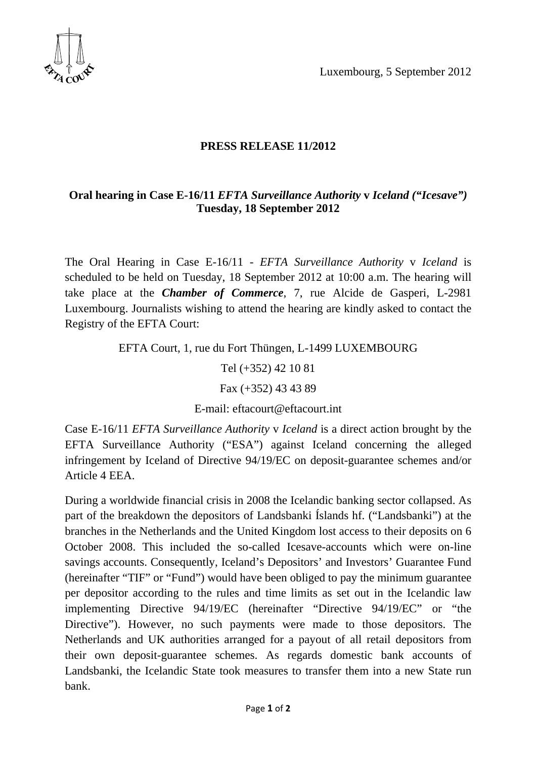Luxembourg, 5 September 2012



## **PRESS RELEASE 11/2012**

## **Oral hearing in Case E-16/11** *EFTA Surveillance Authority* **v** *Iceland ("Icesave")* **Tuesday, 18 September 2012**

The Oral Hearing in Case E-16/11 - *EFTA Surveillance Authority* v *Iceland* is scheduled to be held on Tuesday, 18 September 2012 at 10:00 a.m. The hearing will take place at the *Chamber of Commerce*, 7, rue Alcide de Gasperi, L-2981 Luxembourg. Journalists wishing to attend the hearing are kindly asked to contact the Registry of the EFTA Court:

EFTA Court, 1, rue du Fort Thüngen, L-1499 LUXEMBOURG

Tel (+352) 42 10 81

Fax (+352) 43 43 89

E-mail: eftacourt@eftacourt.int

Case E-16/11 *EFTA Surveillance Authority* v *Iceland* is a direct action brought by the EFTA Surveillance Authority ("ESA") against Iceland concerning the alleged infringement by Iceland of Directive 94/19/EC on deposit-guarantee schemes and/or Article 4 EEA.

During a worldwide financial crisis in 2008 the Icelandic banking sector collapsed. As part of the breakdown the depositors of Landsbanki Íslands hf. ("Landsbanki") at the branches in the Netherlands and the United Kingdom lost access to their deposits on 6 October 2008. This included the so-called Icesave-accounts which were on-line savings accounts. Consequently, Iceland's Depositors' and Investors' Guarantee Fund (hereinafter "TIF" or "Fund") would have been obliged to pay the minimum guarantee per depositor according to the rules and time limits as set out in the Icelandic law implementing Directive 94/19/EC (hereinafter "Directive 94/19/EC" or "the Directive"). However, no such payments were made to those depositors. The Netherlands and UK authorities arranged for a payout of all retail depositors from their own deposit-guarantee schemes. As regards domestic bank accounts of Landsbanki, the Icelandic State took measures to transfer them into a new State run bank.